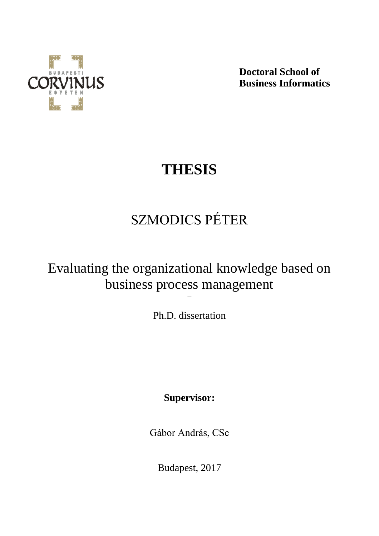

**Doctoral School of Business Informatics**

# **THESIS**

# SZMODICS PÉTER

### Evaluating the organizational knowledge based on business process management

Ph.D. dissertation

–

**Supervisor:**

Gábor András, CSc

Budapest, 2017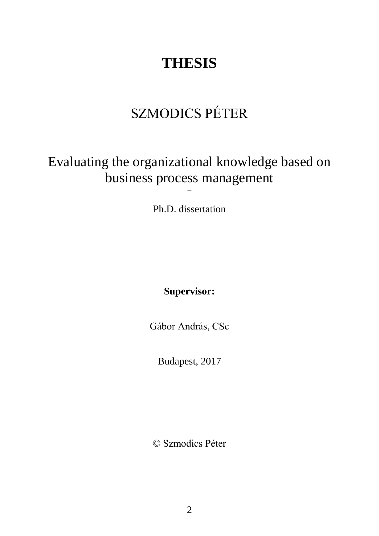# **THESIS**

## SZMODICS PÉTER

### Evaluating the organizational knowledge based on business process management

Ph.D. dissertation

–

**Supervisor:**

Gábor András, CSc

Budapest, 2017

© Szmodics Péter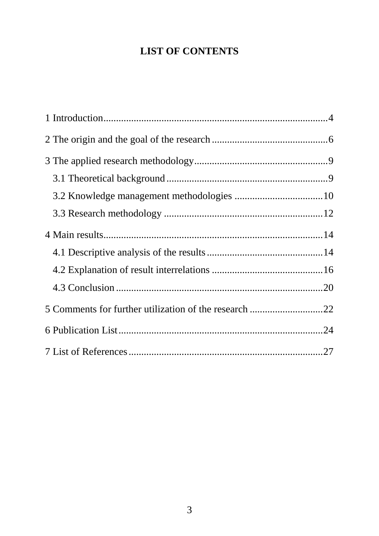### **LIST OF CONTENTS**

| 5 Comments for further utilization of the research 22 |  |
|-------------------------------------------------------|--|
|                                                       |  |
|                                                       |  |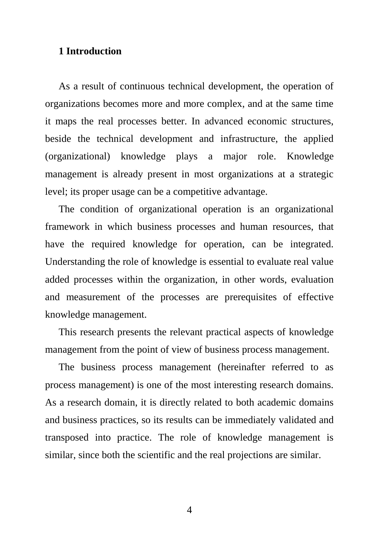#### <span id="page-3-0"></span>**1 Introduction**

As a result of continuous technical development, the operation of organizations becomes more and more complex, and at the same time it maps the real processes better. In advanced economic structures, beside the technical development and infrastructure, the applied (organizational) knowledge plays a major role. Knowledge management is already present in most organizations at a strategic level; its proper usage can be a competitive advantage.

The condition of organizational operation is an organizational framework in which business processes and human resources, that have the required knowledge for operation, can be integrated. Understanding the role of knowledge is essential to evaluate real value added processes within the organization, in other words, evaluation and measurement of the processes are prerequisites of effective knowledge management.

This research presents the relevant practical aspects of knowledge management from the point of view of business process management.

The business process management (hereinafter referred to as process management) is one of the most interesting research domains. As a research domain, it is directly related to both academic domains and business practices, so its results can be immediately validated and transposed into practice. The role of knowledge management is similar, since both the scientific and the real projections are similar.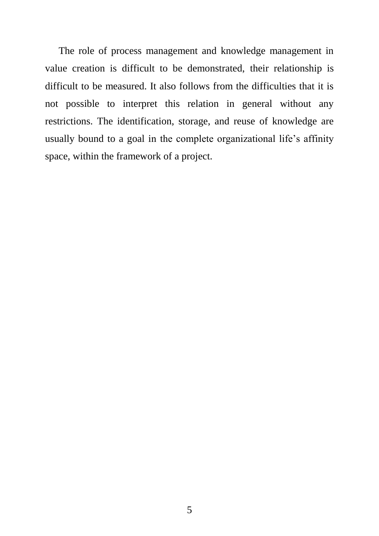The role of process management and knowledge management in value creation is difficult to be demonstrated, their relationship is difficult to be measured. It also follows from the difficulties that it is not possible to interpret this relation in general without any restrictions. The identification, storage, and reuse of knowledge are usually bound to a goal in the complete organizational life's affinity space, within the framework of a project.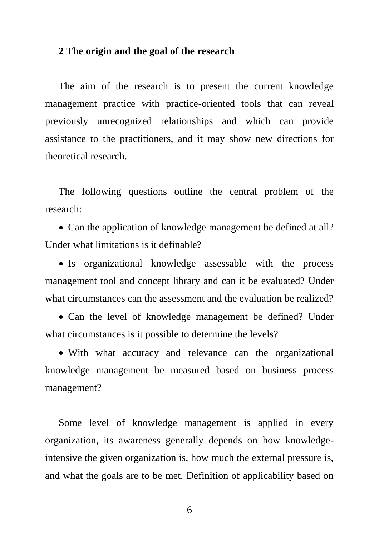#### <span id="page-5-0"></span>**2 The origin and the goal of the research**

The aim of the research is to present the current knowledge management practice with practice-oriented tools that can reveal previously unrecognized relationships and which can provide assistance to the practitioners, and it may show new directions for theoretical research.

The following questions outline the central problem of the research:

• Can the application of knowledge management be defined at all? Under what limitations is it definable?

• Is organizational knowledge assessable with the process management tool and concept library and can it be evaluated? Under what circumstances can the assessment and the evaluation be realized?

• Can the level of knowledge management be defined? Under what circumstances is it possible to determine the levels?

• With what accuracy and relevance can the organizational knowledge management be measured based on business process management?

Some level of knowledge management is applied in every organization, its awareness generally depends on how knowledgeintensive the given organization is, how much the external pressure is, and what the goals are to be met. Definition of applicability based on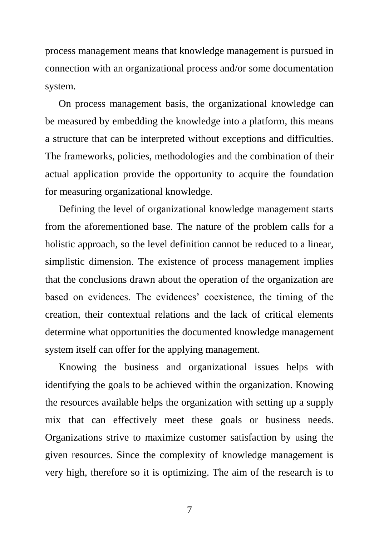process management means that knowledge management is pursued in connection with an organizational process and/or some documentation system.

On process management basis, the organizational knowledge can be measured by embedding the knowledge into a platform, this means a structure that can be interpreted without exceptions and difficulties. The frameworks, policies, methodologies and the combination of their actual application provide the opportunity to acquire the foundation for measuring organizational knowledge.

Defining the level of organizational knowledge management starts from the aforementioned base. The nature of the problem calls for a holistic approach, so the level definition cannot be reduced to a linear, simplistic dimension. The existence of process management implies that the conclusions drawn about the operation of the organization are based on evidences. The evidences' coexistence, the timing of the creation, their contextual relations and the lack of critical elements determine what opportunities the documented knowledge management system itself can offer for the applying management.

Knowing the business and organizational issues helps with identifying the goals to be achieved within the organization. Knowing the resources available helps the organization with setting up a supply mix that can effectively meet these goals or business needs. Organizations strive to maximize customer satisfaction by using the given resources. Since the complexity of knowledge management is very high, therefore so it is optimizing. The aim of the research is to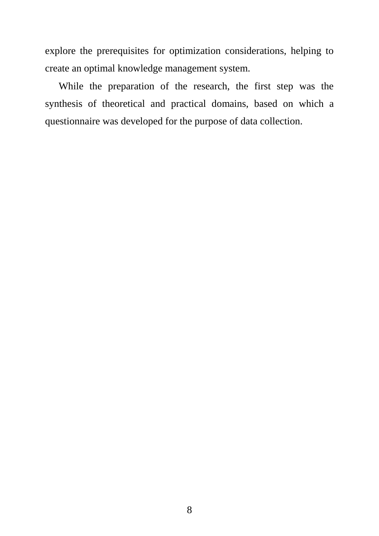explore the prerequisites for optimization considerations, helping to create an optimal knowledge management system.

While the preparation of the research, the first step was the synthesis of theoretical and practical domains, based on which a questionnaire was developed for the purpose of data collection.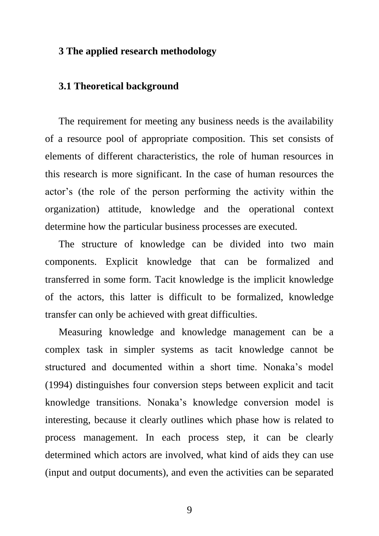#### <span id="page-8-0"></span>**3 The applied research methodology**

#### <span id="page-8-1"></span>**3.1 Theoretical background**

The requirement for meeting any business needs is the availability of a resource pool of appropriate composition. This set consists of elements of different characteristics, the role of human resources in this research is more significant. In the case of human resources the actor's (the role of the person performing the activity within the organization) attitude, knowledge and the operational context determine how the particular business processes are executed.

The structure of knowledge can be divided into two main components. Explicit knowledge that can be formalized and transferred in some form. Tacit knowledge is the implicit knowledge of the actors, this latter is difficult to be formalized, knowledge transfer can only be achieved with great difficulties.

Measuring knowledge and knowledge management can be a complex task in simpler systems as tacit knowledge cannot be structured and documented within a short time. Nonaka's model (1994) distinguishes four conversion steps between explicit and tacit knowledge transitions. Nonaka's knowledge conversion model is interesting, because it clearly outlines which phase how is related to process management. In each process step, it can be clearly determined which actors are involved, what kind of aids they can use (input and output documents), and even the activities can be separated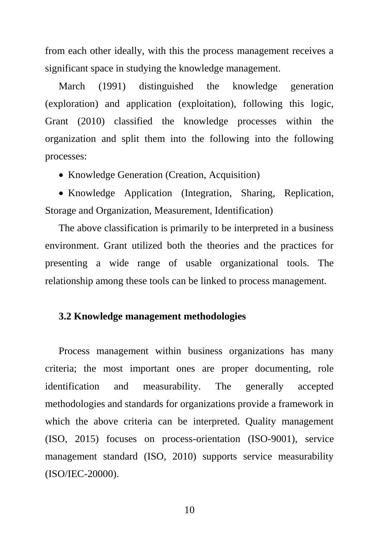from each other ideally, with this the process management receives a significant space in studying the knowledge management.

March (1991) distinguished the knowledge generation (exploration) and application (exploitation), following this logic, Grant (2010) classified the knowledge processes within the organization and split them into the following into the following processes:

• Knowledge Generation (Creation, Acquisition)

• Knowledge Application (Integration, Sharing, Replication, Storage and Organization, Measurement, Identification)

The above classification is primarily to be interpreted in a business environment. Grant utilized both the theories and the practices for presenting a wide range of usable organizational tools. The relationship among these tools can be linked to process management.

#### <span id="page-9-0"></span>**3.2 Knowledge management methodologies**

Process management within business organizations has many criteria; the most important ones are proper documenting, role identification and measurability. The generally accepted methodologies and standards for organizations provide a framework in which the above criteria can be interpreted. Quality management (ISO, 2015) focuses on process-orientation (ISO-9001), service management standard (ISO, 2010) supports service measurability (ISO/IEC-20000).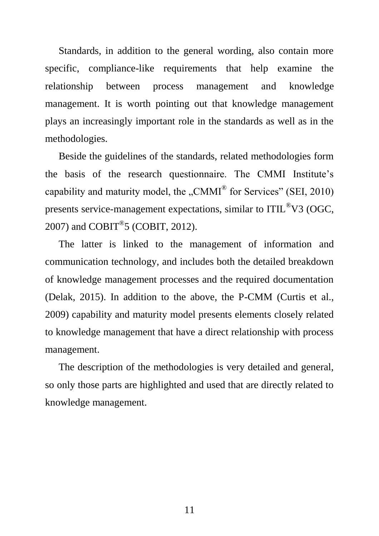Standards, in addition to the general wording, also contain more specific, compliance-like requirements that help examine the relationship between process management and knowledge management. It is worth pointing out that knowledge management plays an increasingly important role in the standards as well as in the methodologies.

Beside the guidelines of the standards, related methodologies form the basis of the research questionnaire. The CMMI Institute's capability and maturity model, the "CMMI<sup>®</sup> for Services" (SEI, 2010) presents service-management expectations, similar to ITIL®V3 (OGC, 2007) and  $COBIT<sup>®</sup>5 (COBIT, 2012).$ 

The latter is linked to the management of information and communication technology, and includes both the detailed breakdown of knowledge management processes and the required documentation (Delak, 2015). In addition to the above, the P-CMM (Curtis et al., 2009) capability and maturity model presents elements closely related to knowledge management that have a direct relationship with process management.

The description of the methodologies is very detailed and general, so only those parts are highlighted and used that are directly related to knowledge management.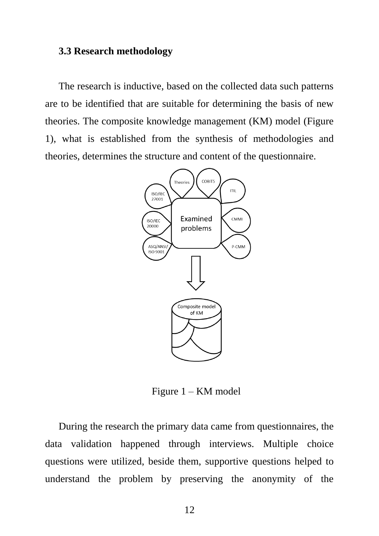#### <span id="page-11-0"></span>**3.3 Research methodology**

The research is inductive, based on the collected data such patterns are to be identified that are suitable for determining the basis of new theories. The composite knowledge management (KM) model (Figure 1), what is established from the synthesis of methodologies and theories, determines the structure and content of the questionnaire.



Figure 1 – KM model

During the research the primary data came from questionnaires, the data validation happened through interviews. Multiple choice questions were utilized, beside them, supportive questions helped to understand the problem by preserving the anonymity of the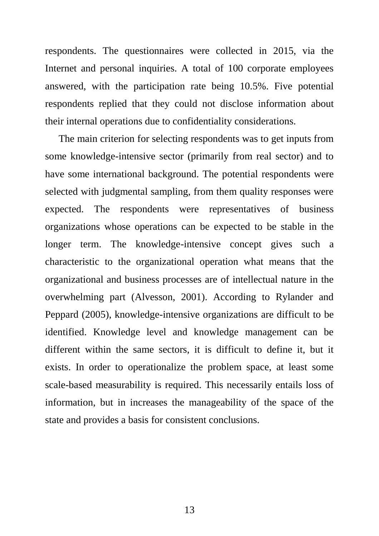respondents. The questionnaires were collected in 2015, via the Internet and personal inquiries. A total of 100 corporate employees answered, with the participation rate being 10.5%. Five potential respondents replied that they could not disclose information about their internal operations due to confidentiality considerations.

The main criterion for selecting respondents was to get inputs from some knowledge-intensive sector (primarily from real sector) and to have some international background. The potential respondents were selected with judgmental sampling, from them quality responses were expected. The respondents were representatives of business organizations whose operations can be expected to be stable in the longer term. The knowledge-intensive concept gives such a characteristic to the organizational operation what means that the organizational and business processes are of intellectual nature in the overwhelming part (Alvesson, 2001). According to Rylander and Peppard (2005), knowledge-intensive organizations are difficult to be identified. Knowledge level and knowledge management can be different within the same sectors, it is difficult to define it, but it exists. In order to operationalize the problem space, at least some scale-based measurability is required. This necessarily entails loss of information, but in increases the manageability of the space of the state and provides a basis for consistent conclusions.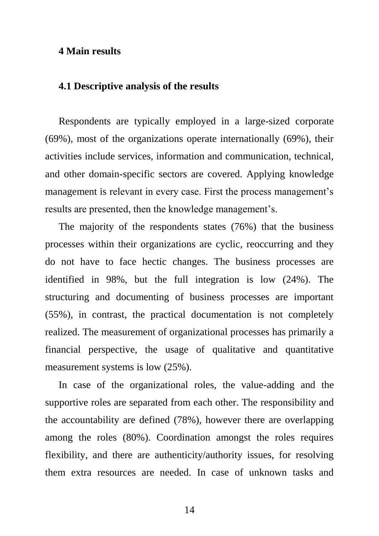#### <span id="page-13-0"></span>**4 Main results**

#### <span id="page-13-1"></span>**4.1 Descriptive analysis of the results**

Respondents are typically employed in a large-sized corporate (69%), most of the organizations operate internationally (69%), their activities include services, information and communication, technical, and other domain-specific sectors are covered. Applying knowledge management is relevant in every case. First the process management's results are presented, then the knowledge management's.

The majority of the respondents states (76%) that the business processes within their organizations are cyclic, reoccurring and they do not have to face hectic changes. The business processes are identified in 98%, but the full integration is low (24%). The structuring and documenting of business processes are important (55%), in contrast, the practical documentation is not completely realized. The measurement of organizational processes has primarily a financial perspective, the usage of qualitative and quantitative measurement systems is low (25%).

In case of the organizational roles, the value-adding and the supportive roles are separated from each other. The responsibility and the accountability are defined (78%), however there are overlapping among the roles (80%). Coordination amongst the roles requires flexibility, and there are authenticity/authority issues, for resolving them extra resources are needed. In case of unknown tasks and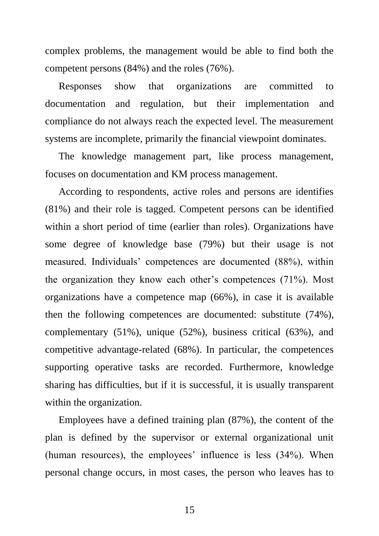complex problems, the management would be able to find both the competent persons (84%) and the roles (76%).

Responses show that organizations are committed to documentation and regulation, but their implementation and compliance do not always reach the expected level. The measurement systems are incomplete, primarily the financial viewpoint dominates.

The knowledge management part, like process management, focuses on documentation and KM process management.

According to respondents, active roles and persons are identifies (81%) and their role is tagged. Competent persons can be identified within a short period of time (earlier than roles). Organizations have some degree of knowledge base (79%) but their usage is not measured. Individuals' competences are documented (88%), within the organization they know each other's competences (71%). Most organizations have a competence map (66%), in case it is available then the following competences are documented: substitute (74%), complementary (51%), unique (52%), business critical (63%), and competitive advantage-related (68%). In particular, the competences supporting operative tasks are recorded. Furthermore, knowledge sharing has difficulties, but if it is successful, it is usually transparent within the organization.

Employees have a defined training plan (87%), the content of the plan is defined by the supervisor or external organizational unit (human resources), the employees' influence is less (34%). When personal change occurs, in most cases, the person who leaves has to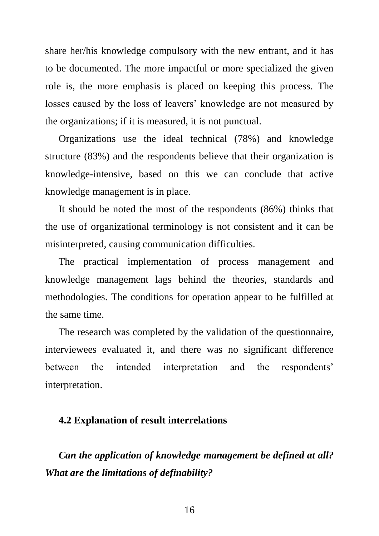share her/his knowledge compulsory with the new entrant, and it has to be documented. The more impactful or more specialized the given role is, the more emphasis is placed on keeping this process. The losses caused by the loss of leavers' knowledge are not measured by the organizations; if it is measured, it is not punctual.

Organizations use the ideal technical (78%) and knowledge structure (83%) and the respondents believe that their organization is knowledge-intensive, based on this we can conclude that active knowledge management is in place.

It should be noted the most of the respondents (86%) thinks that the use of organizational terminology is not consistent and it can be misinterpreted, causing communication difficulties.

The practical implementation of process management and knowledge management lags behind the theories, standards and methodologies. The conditions for operation appear to be fulfilled at the same time.

The research was completed by the validation of the questionnaire, interviewees evaluated it, and there was no significant difference between the intended interpretation and the respondents' interpretation.

#### <span id="page-15-0"></span>**4.2 Explanation of result interrelations**

*Can the application of knowledge management be defined at all? What are the limitations of definability?*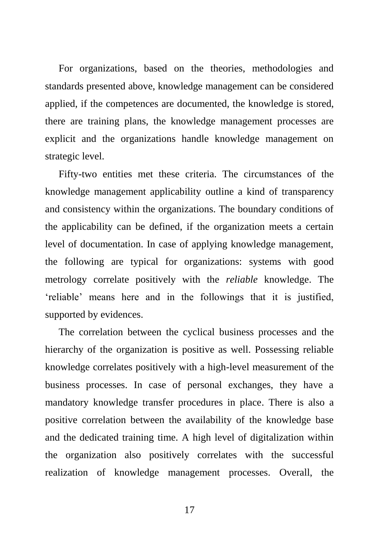For organizations, based on the theories, methodologies and standards presented above, knowledge management can be considered applied, if the competences are documented, the knowledge is stored, there are training plans, the knowledge management processes are explicit and the organizations handle knowledge management on strategic level.

Fifty-two entities met these criteria. The circumstances of the knowledge management applicability outline a kind of transparency and consistency within the organizations. The boundary conditions of the applicability can be defined, if the organization meets a certain level of documentation. In case of applying knowledge management, the following are typical for organizations: systems with good metrology correlate positively with the *reliable* knowledge. The 'reliable' means here and in the followings that it is justified, supported by evidences.

The correlation between the cyclical business processes and the hierarchy of the organization is positive as well. Possessing reliable knowledge correlates positively with a high-level measurement of the business processes. In case of personal exchanges, they have a mandatory knowledge transfer procedures in place. There is also a positive correlation between the availability of the knowledge base and the dedicated training time. A high level of digitalization within the organization also positively correlates with the successful realization of knowledge management processes. Overall, the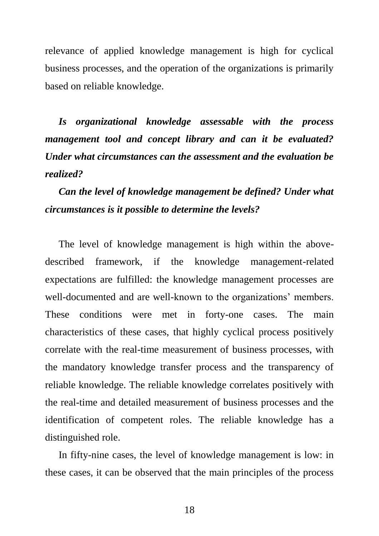relevance of applied knowledge management is high for cyclical business processes, and the operation of the organizations is primarily based on reliable knowledge.

*Is organizational knowledge assessable with the process management tool and concept library and can it be evaluated? Under what circumstances can the assessment and the evaluation be realized?*

*Can the level of knowledge management be defined? Under what circumstances is it possible to determine the levels?*

The level of knowledge management is high within the abovedescribed framework, if the knowledge management-related expectations are fulfilled: the knowledge management processes are well-documented and are well-known to the organizations' members. These conditions were met in forty-one cases. The main characteristics of these cases, that highly cyclical process positively correlate with the real-time measurement of business processes, with the mandatory knowledge transfer process and the transparency of reliable knowledge. The reliable knowledge correlates positively with the real-time and detailed measurement of business processes and the identification of competent roles. The reliable knowledge has a distinguished role.

In fifty-nine cases, the level of knowledge management is low: in these cases, it can be observed that the main principles of the process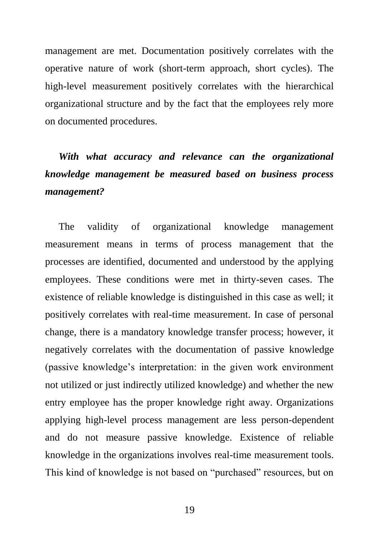management are met. Documentation positively correlates with the operative nature of work (short-term approach, short cycles). The high-level measurement positively correlates with the hierarchical organizational structure and by the fact that the employees rely more on documented procedures.

### *With what accuracy and relevance can the organizational knowledge management be measured based on business process management?*

The validity of organizational knowledge management measurement means in terms of process management that the processes are identified, documented and understood by the applying employees. These conditions were met in thirty-seven cases. The existence of reliable knowledge is distinguished in this case as well; it positively correlates with real-time measurement. In case of personal change, there is a mandatory knowledge transfer process; however, it negatively correlates with the documentation of passive knowledge (passive knowledge's interpretation: in the given work environment not utilized or just indirectly utilized knowledge) and whether the new entry employee has the proper knowledge right away. Organizations applying high-level process management are less person-dependent and do not measure passive knowledge. Existence of reliable knowledge in the organizations involves real-time measurement tools. This kind of knowledge is not based on "purchased" resources, but on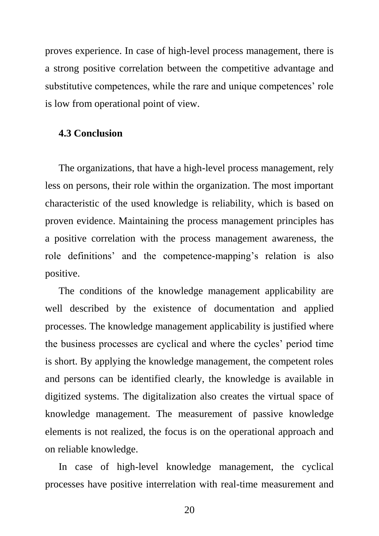proves experience. In case of high-level process management, there is a strong positive correlation between the competitive advantage and substitutive competences, while the rare and unique competences' role is low from operational point of view.

#### <span id="page-19-0"></span>**4.3 Conclusion**

The organizations, that have a high-level process management, rely less on persons, their role within the organization. The most important characteristic of the used knowledge is reliability, which is based on proven evidence. Maintaining the process management principles has a positive correlation with the process management awareness, the role definitions' and the competence-mapping's relation is also positive.

The conditions of the knowledge management applicability are well described by the existence of documentation and applied processes. The knowledge management applicability is justified where the business processes are cyclical and where the cycles' period time is short. By applying the knowledge management, the competent roles and persons can be identified clearly, the knowledge is available in digitized systems. The digitalization also creates the virtual space of knowledge management. The measurement of passive knowledge elements is not realized, the focus is on the operational approach and on reliable knowledge.

In case of high-level knowledge management, the cyclical processes have positive interrelation with real-time measurement and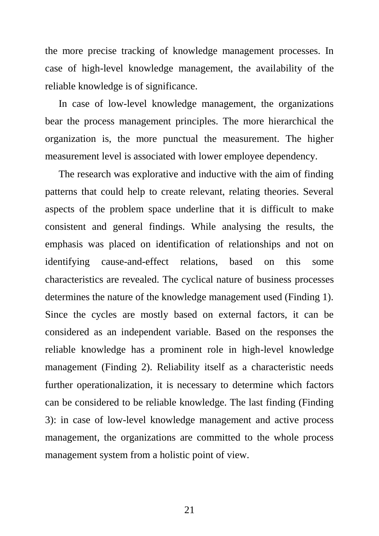the more precise tracking of knowledge management processes. In case of high-level knowledge management, the availability of the reliable knowledge is of significance.

In case of low-level knowledge management, the organizations bear the process management principles. The more hierarchical the organization is, the more punctual the measurement. The higher measurement level is associated with lower employee dependency.

The research was explorative and inductive with the aim of finding patterns that could help to create relevant, relating theories. Several aspects of the problem space underline that it is difficult to make consistent and general findings. While analysing the results, the emphasis was placed on identification of relationships and not on identifying cause-and-effect relations, based on this some characteristics are revealed. The cyclical nature of business processes determines the nature of the knowledge management used (Finding 1). Since the cycles are mostly based on external factors, it can be considered as an independent variable. Based on the responses the reliable knowledge has a prominent role in high-level knowledge management (Finding 2). Reliability itself as a characteristic needs further operationalization, it is necessary to determine which factors can be considered to be reliable knowledge. The last finding (Finding 3): in case of low-level knowledge management and active process management, the organizations are committed to the whole process management system from a holistic point of view.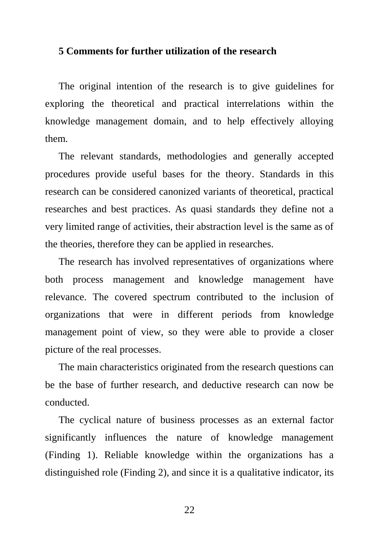#### <span id="page-21-0"></span>**5 Comments for further utilization of the research**

The original intention of the research is to give guidelines for exploring the theoretical and practical interrelations within the knowledge management domain, and to help effectively alloying them.

The relevant standards, methodologies and generally accepted procedures provide useful bases for the theory. Standards in this research can be considered canonized variants of theoretical, practical researches and best practices. As quasi standards they define not a very limited range of activities, their abstraction level is the same as of the theories, therefore they can be applied in researches.

The research has involved representatives of organizations where both process management and knowledge management have relevance. The covered spectrum contributed to the inclusion of organizations that were in different periods from knowledge management point of view, so they were able to provide a closer picture of the real processes.

The main characteristics originated from the research questions can be the base of further research, and deductive research can now be conducted.

The cyclical nature of business processes as an external factor significantly influences the nature of knowledge management (Finding 1). Reliable knowledge within the organizations has a distinguished role (Finding 2), and since it is a qualitative indicator, its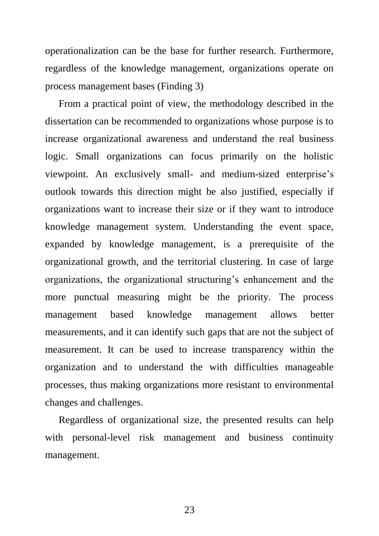operationalization can be the base for further research. Furthermore, regardless of the knowledge management, organizations operate on process management bases (Finding 3)

From a practical point of view, the methodology described in the dissertation can be recommended to organizations whose purpose is to increase organizational awareness and understand the real business logic. Small organizations can focus primarily on the holistic viewpoint. An exclusively small- and medium-sized enterprise's outlook towards this direction might be also justified, especially if organizations want to increase their size or if they want to introduce knowledge management system. Understanding the event space, expanded by knowledge management, is a prerequisite of the organizational growth, and the territorial clustering. In case of large organizations, the organizational structuring's enhancement and the more punctual measuring might be the priority. The process management based knowledge management allows better measurements, and it can identify such gaps that are not the subject of measurement. It can be used to increase transparency within the organization and to understand the with difficulties manageable processes, thus making organizations more resistant to environmental changes and challenges.

Regardless of organizational size, the presented results can help with personal-level risk management and business continuity management.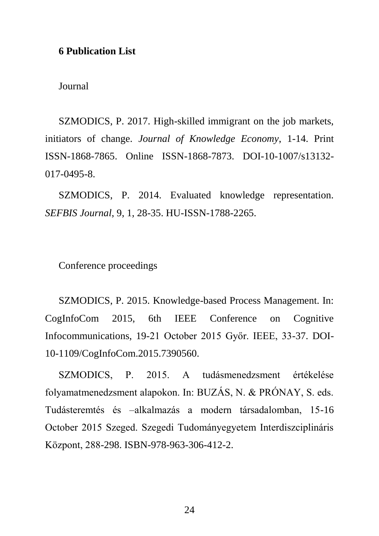#### <span id="page-23-0"></span>**6 Publication List**

Journal

SZMODICS, P. 2017. High-skilled immigrant on the job markets, initiators of change. *Journal of Knowledge Economy*, 1-14. Print ISSN-1868-7865. Online ISSN-1868-7873. DOI-10-1007/s13132- 017-0495-8.

SZMODICS, P. 2014. Evaluated knowledge representation. *SEFBIS Journal*, 9, 1, 28-35. HU-ISSN-1788-2265.

Conference proceedings

SZMODICS, P. 2015. Knowledge-based Process Management. In: CogInfoCom 2015, 6th IEEE Conference on Cognitive Infocommunications, 19-21 October 2015 Győr. IEEE, 33-37. DOI-10-1109/CogInfoCom.2015.7390560.

SZMODICS, P. 2015. A tudásmenedzsment értékelése folyamatmenedzsment alapokon. In: BUZÁS, N. & PRÓNAY, S. eds. Tudásteremtés és –alkalmazás a modern társadalomban, 15-16 October 2015 Szeged. Szegedi Tudományegyetem Interdiszciplináris Központ, 288-298. ISBN-978-963-306-412-2.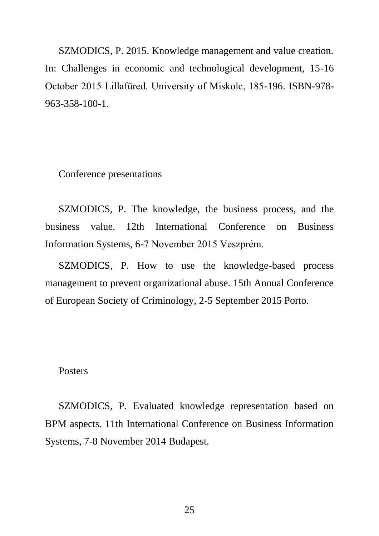SZMODICS, P. 2015. Knowledge management and value creation. In: Challenges in economic and technological development, 15-16 October 2015 Lillafüred. University of Miskolc, 185-196. ISBN-978- 963-358-100-1.

Conference presentations

SZMODICS, P. The knowledge, the business process, and the business value. 12th International Conference on Business Information Systems, 6-7 November 2015 Veszprém.

SZMODICS, P. How to use the knowledge-based process management to prevent organizational abuse. 15th Annual Conference of European Society of Criminology, 2-5 September 2015 Porto.

#### **Posters**

SZMODICS, P. Evaluated knowledge representation based on BPM aspects. 11th International Conference on Business Information Systems, 7-8 November 2014 Budapest.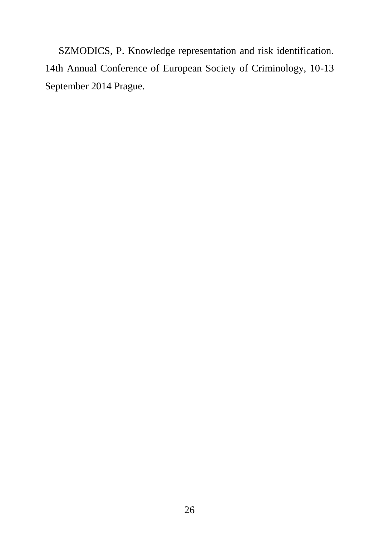SZMODICS, P. Knowledge representation and risk identification. 14th Annual Conference of European Society of Criminology, 10-13 September 2014 Prague.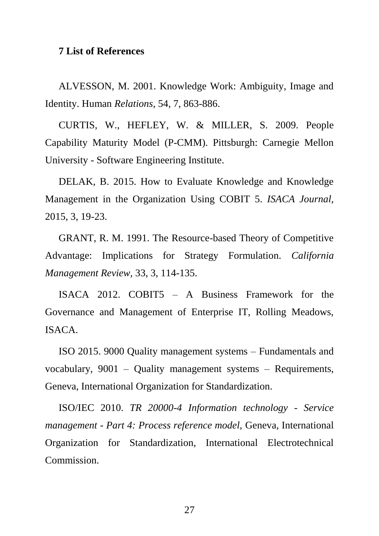#### <span id="page-26-0"></span>**7 List of References**

ALVESSON, M. 2001. Knowledge Work: Ambiguity, Image and Identity. Human *Relations,* 54, 7, 863-886.

CURTIS, W., HEFLEY, W. & MILLER, S. 2009. People Capability Maturity Model (P-CMM). Pittsburgh: Carnegie Mellon University - Software Engineering Institute.

DELAK, B. 2015. How to Evaluate Knowledge and Knowledge Management in the Organization Using COBIT 5. *ISACA Journal,* 2015, 3, 19-23.

GRANT, R. M. 1991. The Resource-based Theory of Competitive Advantage: Implications for Strategy Formulation. *California Management Review,* 33, 3, 114-135.

ISACA 2012. COBIT5 – A Business Framework for the Governance and Management of Enterprise IT, Rolling Meadows, ISACA.

ISO 2015. 9000 Quality management systems – Fundamentals and vocabulary, 9001 – Quality management systems – Requirements, Geneva, International Organization for Standardization.

ISO/IEC 2010. *TR 20000-4 Information technology - Service management - Part 4: Process reference model,* Geneva, International Organization for Standardization, International Electrotechnical Commission.